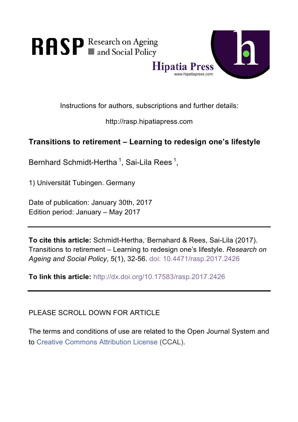

Instructions for authors, subscriptions and further details:

http://rasp.hipatiapress.com

# **Transitions to retirement – Learning to redesign one's lifestyle**

Bernhard Schmidt-Hertha<sup>1</sup>, Sai-Lila Rees<sup>1</sup>,

1) Universität Tubingen. Germany

Date of publication: January 30th, 2017 Edition period: January – May 2017

**To cite this article:** Schmidt-Hertha,' Bernahard & Rees, Sai-Lila (2017). Transitions to retirement – Learning to redesign one's lifestyle. *Research on Ageing and Social Policy*, 5(1), 32-56. doi: 10.4471/rasp.2017.2426

**To link this article:** http://dx.doi.org/10.17583/rasp.2017.2426

PLEASE SCROLL DOWN FOR ARTICLE

The terms and conditions of use are related to the Open Journal System and to Creative Commons Attribution License (CCAL).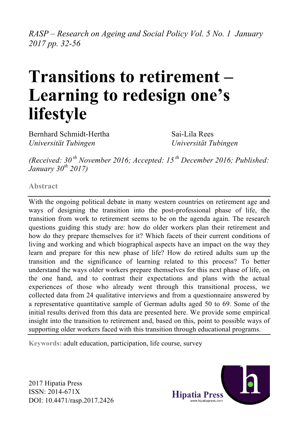*RASP – Research on Ageing and Social Policy Vol. 5 No. 1 January 2017 pp. 32-56*

# **Transitions to retirement – Learning to redesign one's lifestyle**

Bernhard Schmidt-Hertha *Universität Tubingen*

Sai-Lila Rees *Universität Tubingen*

*(Received: 30 th November 2016; Accepted: 15 th December 2016; Published: January 30th 2017)*

**Abstract**

With the ongoing political debate in many western countries on retirement age and ways of designing the transition into the post-professional phase of life, the transition from work to retirement seems to be on the agenda again. The research questions guiding this study are: how do older workers plan their retirement and how do they prepare themselves for it? Which facets of their current conditions of living and working and which biographical aspects have an impact on the way they learn and prepare for this new phase of life? How do retired adults sum up the transition and the significance of learning related to this process? To better understand the ways older workers prepare themselves for this next phase of life, on the one hand, and to contrast their expectations and plans with the actual experiences of those who already went through this transitional process, we collected data from 24 qualitative interviews and from a questionnaire answered by a representative quantitative sample of German adults aged 50 to 69. Some of the initial results derived from this data are presented here. We provide some empirical insight into the transition to retirement and, based on this, point to possible ways of supporting older workers faced with this transition through educational programs.

**Keywords:** adult education, participation, life course, survey



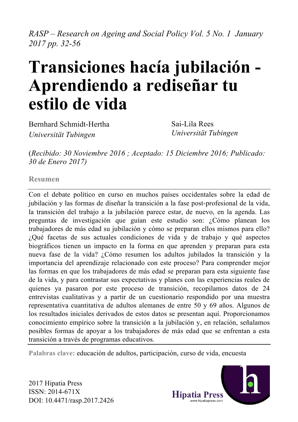*RASP – Research on Ageing and Social Policy Vol. 5 No. 1 January 2017 pp. 32-56*

# **Transiciones hacía jubilación - Aprendiendo a rediseñar tu estilo de vida**

Bernhard Schmidt-Hertha *Universität Tubingen*

Sai-Lila Rees *Universität Tubingen*

(*Recibido: 30 Noviembre 2016 ; Aceptado: 15 Diciembre 2016; Publicado: 30 de Enero 2017)*

**Resumen**

Con el debate político en curso en muchos países occidentales sobre la edad de jubilación y las formas de diseñar la transición a la fase post-profesional de la vida, la transición del trabajo a la jubilación parece estar, de nuevo, en la agenda. Las preguntas de investigación que guían este estudio son: ¿Cómo planean los trabajadores de más edad su jubilación y cómo se preparan ellos mismos para ello? ¿Qué facetas de sus actuales condiciones de vida y de trabajo y qué aspectos biográficos tienen un impacto en la forma en que aprenden y preparan para esta nueva fase de la vida? ¿Cómo resumen los adultos jubilados la transición y la importancia del aprendizaje relacionado con este proceso? Para comprender mejor las formas en que los trabajadores de más edad se preparan para esta siguiente fase de la vida, y para contrastar sus expectativas y planes con las experiencias reales de quienes ya pasaron por este proceso de transición, recopilamos datos de 24 entrevistas cualitativas y a partir de un cuestionario respondido por una muestra representativa cuantitativa de adultos alemanes de entre 50 y 69 años. Algunos de los resultados iniciales derivados de estos datos se presentan aquí. Proporcionamos conocimiento empírico sobre la transición a la jubilación y, en relación, señalamos posibles formas de apoyar a los trabajadores de más edad que se enfrentan a esta transición a través de programas educativos.

**Palabras clave:** educación de adultos, participación, curso de vida, encuesta

2017 Hipatia Press ISSN: 2014-671X DOI: 10.4471/rasp.2017.2426

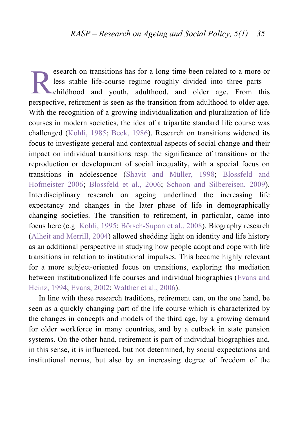esearch on transitions has for a long time been related to a more or less stable life-course regime roughly divided into three parts – childhood and youth, adulthood, and older age. From this perspective, retirement is seen as the transition from adulthood to older age. With the recognition of a growing individualization and pluralization of life courses in modern societies, the idea of a tripartite standard life course was challenged (Kohli, 1985; Beck, 1986). Research on transitions widened its focus to investigate general and contextual aspects of social change and their impact on individual transitions resp. the significance of transitions or the reproduction or development of social inequality, with a special focus on transitions in adolescence (Shavit and Müller, 1998; Blossfeld and Hofmeister 2006; Blossfeld et al., 2006; Schoon and Silbereisen, 2009). Interdisciplinary research on ageing underlined the increasing life expectancy and changes in the later phase of life in demographically changing societies. The transition to retirement, in particular, came into focus here (e.g. Kohli, 1995; Börsch-Supan et al., 2008). Biography research (Alheit and Merrill, 2004) allowed shedding light on identity and life history as an additional perspective in studying how people adopt and cope with life transitions in relation to institutional impulses. This became highly relevant for a more subject-oriented focus on transitions, exploring the mediation between institutionalized life courses and individual biographies (Evans and Heinz, 1994; Evans, 2002; Walther et al., 2006). R

In line with these research traditions, retirement can, on the one hand, be seen as a quickly changing part of the life course which is characterized by the changes in concepts and models of the third age, by a growing demand for older workforce in many countries, and by a cutback in state pension systems. On the other hand, retirement is part of individual biographies and, in this sense, it is influenced, but not determined, by social expectations and institutional norms, but also by an increasing degree of freedom of the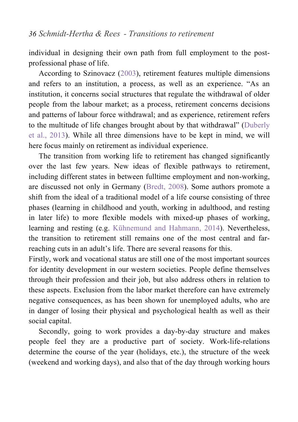individual in designing their own path from full employment to the postprofessional phase of life.

According to Szinovacz (2003), retirement features multiple dimensions and refers to an institution, a process, as well as an experience. "As an institution, it concerns social structures that regulate the withdrawal of older people from the labour market; as a process, retirement concerns decisions and patterns of labour force withdrawal; and as experience, retirement refers to the multitude of life changes brought about by that withdrawal" (Duberly et al., 2013). While all three dimensions have to be kept in mind, we will here focus mainly on retirement as individual experience.

The transition from working life to retirement has changed significantly over the last few years. New ideas of flexible pathways to retirement, including different states in between fulltime employment and non-working, are discussed not only in Germany (Bredt, 2008). Some authors promote a shift from the ideal of a traditional model of a life course consisting of three phases (learning in childhood and youth, working in adulthood, and resting in later life) to more flexible models with mixed-up phases of working, learning and resting (e.g. Kühnemund and Hahmann, 2014). Nevertheless, the transition to retirement still remains one of the most central and farreaching cuts in an adult's life. There are several reasons for this.

Firstly, work and vocational status are still one of the most important sources for identity development in our western societies. People define themselves through their profession and their job, but also address others in relation to these aspects. Exclusion from the labor market therefore can have extremely negative consequences, as has been shown for unemployed adults, who are in danger of losing their physical and psychological health as well as their social capital.

Secondly, going to work provides a day-by-day structure and makes people feel they are a productive part of society. Work-life-relations determine the course of the year (holidays, etc.), the structure of the week (weekend and working days), and also that of the day through working hours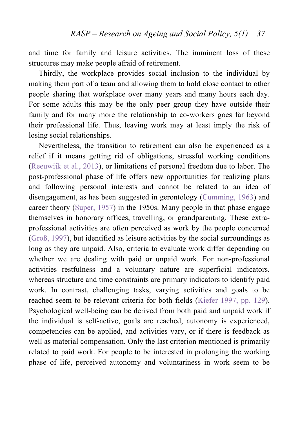and time for family and leisure activities. The imminent loss of these structures may make people afraid of retirement.

Thirdly, the workplace provides social inclusion to the individual by making them part of a team and allowing them to hold close contact to other people sharing that workplace over many years and many hours each day. For some adults this may be the only peer group they have outside their family and for many more the relationship to co-workers goes far beyond their professional life. Thus, leaving work may at least imply the risk of losing social relationships.

Nevertheless, the transition to retirement can also be experienced as a relief if it means getting rid of obligations, stressful working conditions (Reeuwijk et al., 2013), or limitations of personal freedom due to labor. The post-professional phase of life offers new opportunities for realizing plans and following personal interests and cannot be related to an idea of disengagement, as has been suggested in gerontology (Cumming, 1963) and career theory (Super, 1957) in the 1950s. Many people in that phase engage themselves in honorary offices, travelling, or grandparenting. These extraprofessional activities are often perceived as work by the people concerned (Groß, 1997), but identified as leisure activities by the social surroundings as long as they are unpaid. Also, criteria to evaluate work differ depending on whether we are dealing with paid or unpaid work. For non-professional activities restfulness and a voluntary nature are superficial indicators, whereas structure and time constraints are primary indicators to identify paid work. In contrast, challenging tasks, varying activities and goals to be reached seem to be relevant criteria for both fields (Kiefer 1997, pp. 129). Psychological well-being can be derived from both paid and unpaid work if the individual is self-active, goals are reached, autonomy is experienced, competencies can be applied, and activities vary, or if there is feedback as well as material compensation. Only the last criterion mentioned is primarily related to paid work. For people to be interested in prolonging the working phase of life, perceived autonomy and voluntariness in work seem to be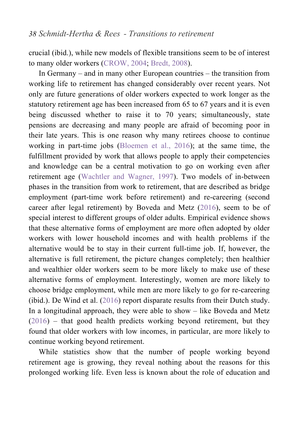crucial (ibid.), while new models of flexible transitions seem to be of interest to many older workers (CROW, 2004; Bredt, 2008).

In Germany – and in many other European countries – the transition from working life to retirement has changed considerably over recent years. Not only are future generations of older workers expected to work longer as the statutory retirement age has been increased from 65 to 67 years and it is even being discussed whether to raise it to 70 years; simultaneously, state pensions are decreasing and many people are afraid of becoming poor in their late years. This is one reason why many retirees choose to continue working in part-time jobs (Bloemen et al., 2016); at the same time, the fulfillment provided by work that allows people to apply their competencies and knowledge can be a central motivation to go on working even after retirement age (Wachtler and Wagner, 1997). Two models of in-between phases in the transition from work to retirement, that are described as bridge employment (part-time work before retirement) and re-careering (second career after legal retirement) by Boveda and Metz (2016), seem to be of special interest to different groups of older adults. Empirical evidence shows that these alternative forms of employment are more often adopted by older workers with lower household incomes and with health problems if the alternative would be to stay in their current full-time job. If, however, the alternative is full retirement, the picture changes completely; then healthier and wealthier older workers seem to be more likely to make use of these alternative forms of employment. Interestingly, women are more likely to choose bridge employment, while men are more likely to go for re-careering (ibid.). De Wind et al. (2016) report disparate results from their Dutch study. In a longitudinal approach, they were able to show – like Boveda and Metz (2016) – that good health predicts working beyond retirement, but they found that older workers with low incomes, in particular, are more likely to continue working beyond retirement.

While statistics show that the number of people working beyond retirement age is growing, they reveal nothing about the reasons for this prolonged working life. Even less is known about the role of education and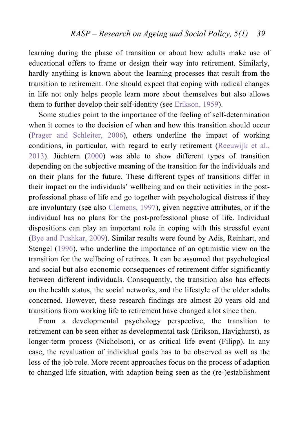learning during the phase of transition or about how adults make use of educational offers to frame or design their way into retirement. Similarly, hardly anything is known about the learning processes that result from the transition to retirement. One should expect that coping with radical changes in life not only helps people learn more about themselves but also allows them to further develop their self-identity (see Erikson, 1959).

Some studies point to the importance of the feeling of self-determination when it comes to the decision of when and how this transition should occur (Prager and Schleiter, 2006), others underline the impact of working conditions, in particular, with regard to early retirement (Reeuwijk et al., 2013). Jüchtern (2000) was able to show different types of transition depending on the subjective meaning of the transition for the individuals and on their plans for the future. These different types of transitions differ in their impact on the individuals' wellbeing and on their activities in the postprofessional phase of life and go together with psychological distress if they are involuntary (see also Clemens, 1997), given negative attributes, or if the individual has no plans for the post-professional phase of life. Individual dispositions can play an important role in coping with this stressful event (Bye and Pushkar, 2009). Similar results were found by Adis, Reinhart, and Stengel (1996), who underline the importance of an optimistic view on the transition for the wellbeing of retirees. It can be assumed that psychological and social but also economic consequences of retirement differ significantly between different individuals. Consequently, the transition also has effects on the health status, the social networks, and the lifestyle of the older adults concerned. However, these research findings are almost 20 years old and transitions from working life to retirement have changed a lot since then.

From a developmental psychology perspective, the transition to retirement can be seen either as developmental task (Erikson, Havighurst), as longer-term process (Nicholson), or as critical life event (Filipp). In any case, the revaluation of individual goals has to be observed as well as the loss of the job role. More recent approaches focus on the process of adaption to changed life situation, with adaption being seen as the (re-)establishment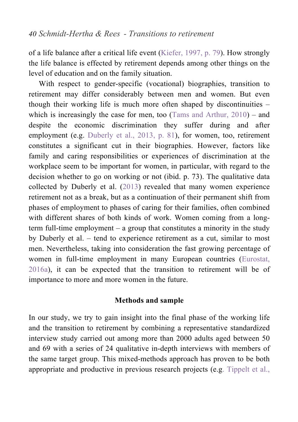of a life balance after a critical life event (Kiefer, 1997, p. 79). How strongly the life balance is effected by retirement depends among other things on the level of education and on the family situation.

With respect to gender-specific (vocational) biographies, transition to retirement may differ considerably between men and women. But even though their working life is much more often shaped by discontinuities – which is increasingly the case for men, too (Tams and Arthur, 2010) – and despite the economic discrimination they suffer during and after employment (e.g. Duberly et al., 2013, p. 81), for women, too, retirement constitutes a significant cut in their biographies. However, factors like family and caring responsibilities or experiences of discrimination at the workplace seem to be important for women, in particular, with regard to the decision whether to go on working or not (ibid. p. 73). The qualitative data collected by Duberly et al. (2013) revealed that many women experience retirement not as a break, but as a continuation of their permanent shift from phases of employment to phases of caring for their families, often combined with different shares of both kinds of work. Women coming from a longterm full-time employment – a group that constitutes a minority in the study by Duberly et al. – tend to experience retirement as a cut, similar to most men. Nevertheless, taking into consideration the fast growing percentage of women in full-time employment in many European countries (Eurostat, 2016a), it can be expected that the transition to retirement will be of importance to more and more women in the future.

#### **Methods and sample**

In our study, we try to gain insight into the final phase of the working life and the transition to retirement by combining a representative standardized interview study carried out among more than 2000 adults aged between 50 and 69 with a series of 24 qualitative in-depth interviews with members of the same target group. This mixed-methods approach has proven to be both appropriate and productive in previous research projects (e.g. Tippelt et al.,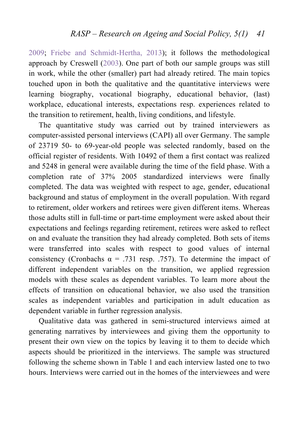2009; Friebe and Schmidt-Hertha, 2013); it follows the methodological approach by Creswell (2003). One part of both our sample groups was still in work, while the other (smaller) part had already retired. The main topics touched upon in both the qualitative and the quantitative interviews were learning biography, vocational biography, educational behavior, (last) workplace, educational interests, expectations resp. experiences related to the transition to retirement, health, living conditions, and lifestyle.

The quantitative study was carried out by trained interviewers as computer-assisted personal interviews (CAPI) all over Germany. The sample of 23719 50- to 69-year-old people was selected randomly, based on the official register of residents. With 10492 of them a first contact was realized and 5248 in general were available during the time of the field phase. With a completion rate of 37% 2005 standardized interviews were finally completed. The data was weighted with respect to age, gender, educational background and status of employment in the overall population. With regard to retirement, older workers and retirees were given different items. Whereas those adults still in full-time or part-time employment were asked about their expectations and feelings regarding retirement, retirees were asked to reflect on and evaluate the transition they had already completed. Both sets of items were transferred into scales with respect to good values of internal consistency (Cronbachs  $\alpha$  = .731 resp. .757). To determine the impact of different independent variables on the transition, we applied regression models with these scales as dependent variables. To learn more about the effects of transition on educational behavior, we also used the transition scales as independent variables and participation in adult education as dependent variable in further regression analysis.

Qualitative data was gathered in semi-structured interviews aimed at generating narratives by interviewees and giving them the opportunity to present their own view on the topics by leaving it to them to decide which aspects should be prioritized in the interviews. The sample was structured following the scheme shown in Table 1 and each interview lasted one to two hours. Interviews were carried out in the homes of the interviewees and were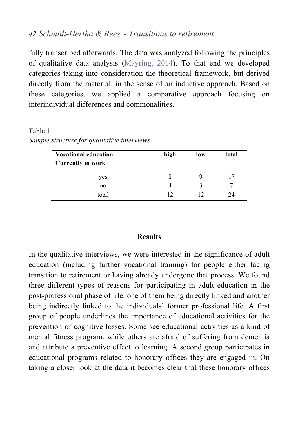fully transcribed afterwards. The data was analyzed following the principles of qualitative data analysis (Mayring, 2014). To that end we developed categories taking into consideration the theoretical framework, but derived directly from the material, in the sense of an inductive approach. Based on these categories, we applied a comparative approach focusing on interindividual differences and commonalities.

Table 1 *Sample structure for qualitative interviews*

| <b>Vocational education</b><br><b>Currently in work</b> | high | low | total |
|---------------------------------------------------------|------|-----|-------|
| yes                                                     |      |     |       |
| no                                                      |      |     |       |
| total                                                   | 12   | 12  | 24    |

### **Results**

In the qualitative interviews, we were interested in the significance of adult education (including further vocational training) for people either facing transition to retirement or having already undergone that process. We found three different types of reasons for participating in adult education in the post-professional phase of life, one of them being directly linked and another being indirectly linked to the individuals' former professional life. A first group of people underlines the importance of educational activities for the prevention of cognitive losses. Some see educational activities as a kind of mental fitness program, while others are afraid of suffering from dementia and attribute a preventive effect to learning. A second group participates in educational programs related to honorary offices they are engaged in. On taking a closer look at the data it becomes clear that these honorary offices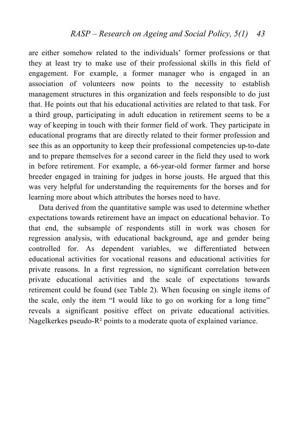are either somehow related to the individuals' former professions or that they at least try to make use of their professional skills in this field of engagement. For example, a former manager who is engaged in an association of volunteers now points to the necessity to establish management structures in this organization and feels responsible to do just that. He points out that his educational activities are related to that task. For a third group, participating in adult education in retirement seems to be a way of keeping in touch with their former field of work. They participate in educational programs that are directly related to their former profession and see this as an opportunity to keep their professional competencies up-to-date and to prepare themselves for a second career in the field they used to work in before retirement. For example, a 66-year-old former farmer and horse breeder engaged in training for judges in horse jousts. He argued that this was very helpful for understanding the requirements for the horses and for learning more about which attributes the horses need to have.

Data derived from the quantitative sample was used to determine whether expectations towards retirement have an impact on educational behavior. To that end, the subsample of respondents still in work was chosen for regression analysis, with educational background, age and gender being controlled for. As dependent variables, we differentiated between educational activities for vocational reasons and educational activities for private reasons. In a first regression, no significant correlation between private educational activities and the scale of expectations towards retirement could be found (see Table 2). When focusing on single items of the scale, only the item "I would like to go on working for a long time" reveals a significant positive effect on private educational activities. Nagelkerkes pseudo-R² points to a moderate quota of explained variance.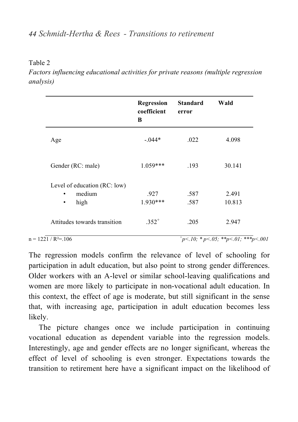#### Table 2

*Factors influencing educational activities for private reasons (multiple regression analysis)*

|                                                             | Regression<br>coefficient<br>B | <b>Standard</b><br>error | Wald            |
|-------------------------------------------------------------|--------------------------------|--------------------------|-----------------|
| Age                                                         | $-.044*$                       | .022                     | 4.098           |
| Gender (RC: male)                                           | $1.059***$                     | .193                     | 30.141          |
| Level of education (RC: low)<br>medium<br>high<br>$\bullet$ | .927<br>$1.930***$             | .587<br>.587             | 2.491<br>10.813 |
| Attitudes towards transition                                | $.352^{+}$                     | .205                     | 2.947           |

#### $n = 1221 / R^2 = 106$

 $m<sup>+</sup> p<10$ <sup>2</sup> \* p< 05; \*\*p< 01; \*\*\*p< 001

The regression models confirm the relevance of level of schooling for participation in adult education, but also point to strong gender differences. Older workers with an A-level or similar school-leaving qualifications and women are more likely to participate in non-vocational adult education. In this context, the effect of age is moderate, but still significant in the sense that, with increasing age, participation in adult education becomes less likely.

The picture changes once we include participation in continuing vocational education as dependent variable into the regression models. Interestingly, age and gender effects are no longer significant, whereas the effect of level of schooling is even stronger. Expectations towards the transition to retirement here have a significant impact on the likelihood of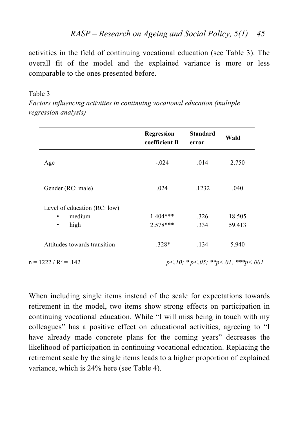activities in the field of continuing vocational education (see Table 3). The overall fit of the model and the explained variance is more or less comparable to the ones presented before.

#### Table 3

*Factors influencing activities in continuing vocational education (multiple regression analysis)*

| coefficient B<br>error | Wald                                                       |
|------------------------|------------------------------------------------------------|
| $-.024$<br>.014        | 2.750                                                      |
| .024<br>.1232          | .040                                                       |
|                        |                                                            |
| $1.404***$<br>326      | 18.505                                                     |
| $2.578***$<br>334      | 59.413                                                     |
| .134                   | 5.940                                                      |
|                        | $-.328*$<br>$p^+p$ <.10; * p <.05; ** p <.01; ** * p <.001 |

When including single items instead of the scale for expectations towards retirement in the model, two items show strong effects on participation in continuing vocational education. While "I will miss being in touch with my colleagues" has a positive effect on educational activities, agreeing to "I have already made concrete plans for the coming years" decreases the likelihood of participation in continuing vocational education. Replacing the retirement scale by the single items leads to a higher proportion of explained variance, which is 24% here (see Table 4).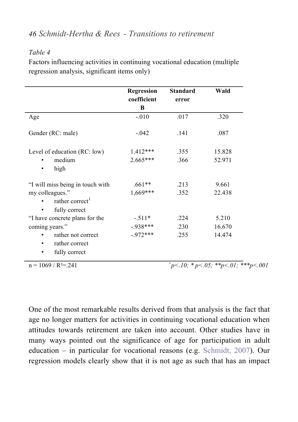## *Table 4*

Factors influencing activities in continuing vocational education (multiple regression analysis, significant items only)

|                                                                              | Regression<br>coefficient | <b>Standard</b><br>error | Wald                                         |
|------------------------------------------------------------------------------|---------------------------|--------------------------|----------------------------------------------|
|                                                                              | B                         |                          |                                              |
| Age                                                                          | $-.010$                   | .017                     | .320                                         |
| Gender (RC: male)                                                            | $-.042$                   | .141                     | .087                                         |
| Level of education (RC: low)                                                 | $1.412***$                | .355                     | 15.828                                       |
| medium<br>high                                                               | $2.665***$                | .366                     | 52.971                                       |
| "I will miss being in touch with                                             | $.661**$                  | .213                     | 9.661                                        |
| my colleagues."<br>rather correct <sup>1</sup><br>fully correct<br>$\bullet$ | 1,669***                  | .352                     | 22.438                                       |
| "I have concrete plans for the                                               | $-.511*$                  | .224                     | 5.210                                        |
| coming years."                                                               | $-938***$                 | .230                     | 16.670                                       |
| rather not correct<br>rather correct<br>٠<br>fully correct<br>٠              | $-972***$                 | .255                     | 14.474                                       |
| $n = 1069 / R^2 = 241$                                                       |                           |                          | $p<10$ ; * p < 05; * * p < 01; * * * p < 001 |

One of the most remarkable results derived from that analysis is the fact that age no longer matters for activities in continuing vocational education when attitudes towards retirement are taken into account. Other studies have in many ways pointed out the significance of age for participation in adult education – in particular for vocational reasons (e.g. Schmidt, 2007). Our regression models clearly show that it is not age as such that has an impact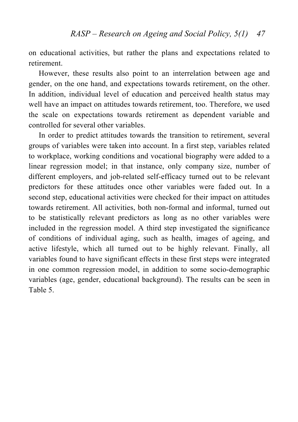on educational activities, but rather the plans and expectations related to retirement.

However, these results also point to an interrelation between age and gender, on the one hand, and expectations towards retirement, on the other. In addition, individual level of education and perceived health status may well have an impact on attitudes towards retirement, too. Therefore, we used the scale on expectations towards retirement as dependent variable and controlled for several other variables.

In order to predict attitudes towards the transition to retirement, several groups of variables were taken into account. In a first step, variables related to workplace, working conditions and vocational biography were added to a linear regression model; in that instance, only company size, number of different employers, and job-related self-efficacy turned out to be relevant predictors for these attitudes once other variables were faded out. In a second step, educational activities were checked for their impact on attitudes towards retirement. All activities, both non-formal and informal, turned out to be statistically relevant predictors as long as no other variables were included in the regression model. A third step investigated the significance of conditions of individual aging, such as health, images of ageing, and active lifestyle, which all turned out to be highly relevant. Finally, all variables found to have significant effects in these first steps were integrated in one common regression model, in addition to some socio-demographic variables (age, gender, educational background). The results can be seen in Table 5.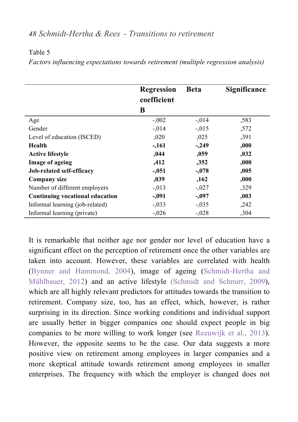#### Table 5

*Factors influencing expectations towards retirement (multiple regression analysis)*

|                                 | <b>Regression</b><br>coefficient<br>B | <b>Beta</b> | Significance |
|---------------------------------|---------------------------------------|-------------|--------------|
| Age                             | $-.002$                               | $-.014$     | ,583         |
| Gender                          | $-.014$                               | $-.015$     | ,572         |
| Level of education (ISCED)      | 0.020                                 | ,025        | ,391         |
| Health                          | $-.161$                               | $-.249$     | ,000         |
| <b>Active lifestyle</b>         | ,044                                  | ,059        | ,032         |
| Image of ageing                 | ,412                                  | ,352        | ,000         |
| Job-related self-efficacy       | $-.051$                               | $-.078$     | ,005         |
| Company size                    | ,039                                  | ,162        | 000.         |
| Number of different employers   | $-.013$                               | $-.027$     | ,329         |
| Continuing vocational education | $-.091$                               | $-.097$     | ,003         |
| Informal learning (job-related) | $-.033$                               | $-.035$     | ,242         |
| Informal learning (private)     | $-.026$                               | $-.028$     | ,304         |

It is remarkable that neither age nor gender nor level of education have a significant effect on the perception of retirement once the other variables are taken into account. However, these variables are correlated with health (Bynner and Hammond, 2004), image of ageing (Schmidt-Hertha and Mühlbauer, 2012) and an active lifestyle (Schmidt and Schnurr, 2009), which are all highly relevant predictors for attitudes towards the transition to retirement. Company size, too, has an effect, which, however, is rather surprising in its direction. Since working conditions and individual support are usually better in bigger companies one should expect people in big companies to be more willing to work longer (see Reeuwijk et al., 2013). However, the opposite seems to be the case. Our data suggests a more positive view on retirement among employees in larger companies and a more skeptical attitude towards retirement among employees in smaller enterprises. The frequency with which the employer is changed does not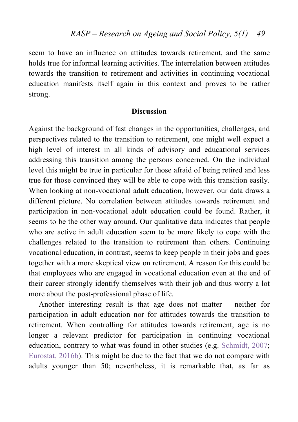seem to have an influence on attitudes towards retirement, and the same holds true for informal learning activities. The interrelation between attitudes towards the transition to retirement and activities in continuing vocational education manifests itself again in this context and proves to be rather strong.

## **Discussion**

Against the background of fast changes in the opportunities, challenges, and perspectives related to the transition to retirement, one might well expect a high level of interest in all kinds of advisory and educational services addressing this transition among the persons concerned. On the individual level this might be true in particular for those afraid of being retired and less true for those convinced they will be able to cope with this transition easily. When looking at non-vocational adult education, however, our data draws a different picture. No correlation between attitudes towards retirement and participation in non-vocational adult education could be found. Rather, it seems to be the other way around. Our qualitative data indicates that people who are active in adult education seem to be more likely to cope with the challenges related to the transition to retirement than others. Continuing vocational education, in contrast, seems to keep people in their jobs and goes together with a more skeptical view on retirement. A reason for this could be that employees who are engaged in vocational education even at the end of their career strongly identify themselves with their job and thus worry a lot more about the post-professional phase of life.

Another interesting result is that age does not matter – neither for participation in adult education nor for attitudes towards the transition to retirement. When controlling for attitudes towards retirement, age is no longer a relevant predictor for participation in continuing vocational education, contrary to what was found in other studies (e.g. Schmidt, 2007; Eurostat, 2016b). This might be due to the fact that we do not compare with adults younger than 50; nevertheless, it is remarkable that, as far as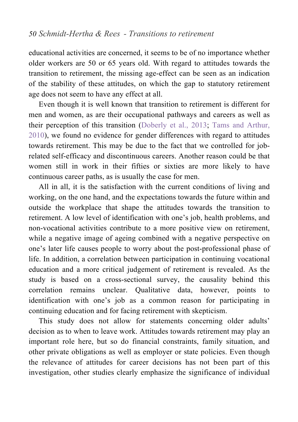educational activities are concerned, it seems to be of no importance whether older workers are 50 or 65 years old. With regard to attitudes towards the transition to retirement, the missing age-effect can be seen as an indication of the stability of these attitudes, on which the gap to statutory retirement age does not seem to have any effect at all.

Even though it is well known that transition to retirement is different for men and women, as are their occupational pathways and careers as well as their perception of this transition (Doberly et al., 2013; Tams and Arthur, 2010), we found no evidence for gender differences with regard to attitudes towards retirement. This may be due to the fact that we controlled for jobrelated self-efficacy and discontinuous careers. Another reason could be that women still in work in their fifties or sixties are more likely to have continuous career paths, as is usually the case for men.

All in all, it is the satisfaction with the current conditions of living and working, on the one hand, and the expectations towards the future within and outside the workplace that shape the attitudes towards the transition to retirement. A low level of identification with one's job, health problems, and non-vocational activities contribute to a more positive view on retirement, while a negative image of ageing combined with a negative perspective on one's later life causes people to worry about the post-professional phase of life. In addition, a correlation between participation in continuing vocational education and a more critical judgement of retirement is revealed. As the study is based on a cross-sectional survey, the causality behind this correlation remains unclear. Qualitative data, however, points to identification with one's job as a common reason for participating in continuing education and for facing retirement with skepticism.

This study does not allow for statements concerning older adults' decision as to when to leave work. Attitudes towards retirement may play an important role here, but so do financial constraints, family situation, and other private obligations as well as employer or state policies. Even though the relevance of attitudes for career decisions has not been part of this investigation, other studies clearly emphasize the significance of individual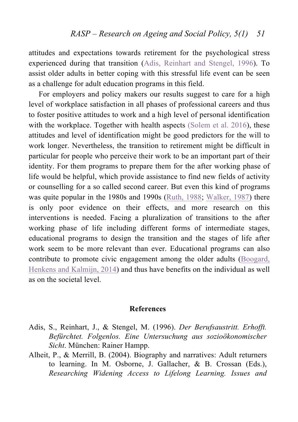attitudes and expectations towards retirement for the psychological stress experienced during that transition (Adis, Reinhart and Stengel, 1996). To assist older adults in better coping with this stressful life event can be seen as a challenge for adult education programs in this field.

For employers and policy makers our results suggest to care for a high level of workplace satisfaction in all phases of professional careers and thus to foster positive attitudes to work and a high level of personal identification with the workplace. Together with health aspects (Solem et al. 2016), these attitudes and level of identification might be good predictors for the will to work longer. Nevertheless, the transition to retirement might be difficult in particular for people who perceive their work to be an important part of their identity. For them programs to prepare them for the after working phase of life would be helpful, which provide assistance to find new fields of activity or counselling for a so called second career. But even this kind of programs was quite popular in the 1980s and 1990s (Ruth, 1988; Walker, 1987) there is only poor evidence on their effects, and more research on this interventions is needed. Facing a pluralization of transitions to the after working phase of life including different forms of intermediate stages, educational programs to design the transition and the stages of life after work seem to be more relevant than ever. Educational programs can also contribute to promote civic engagement among the older adults (Boogard, Henkens and Kalmijn, 2014) and thus have benefits on the individual as well as on the societal level.

#### **References**

- Adis, S., Reinhart, J., & Stengel, M. (1996). *Der Berufsaustritt. Erhofft. Befürchtet. Folgenlos. Eine Untersuchung aus sozioökonomischer Sicht*. München: Rainer Hampp.
- Alheit, P., & Merrill, B. (2004). Biography and narratives: Adult returners to learning. In M. Osborne, J. Gallacher, & B. Crossan (Eds.), *Researching Widening Access to Lifelong Learning. Issues and*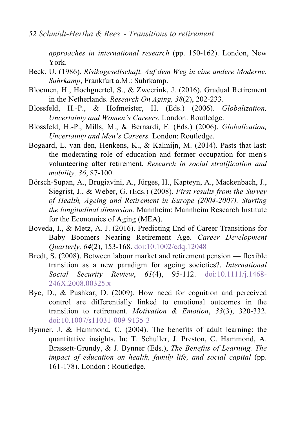*approaches in international research* (pp. 150-162). London, New York.

- Beck, U. (1986). *Risikogesellschaft. Auf dem Weg in eine andere Moderne. Suhrkamp*, Frankfurt a.M.: Suhrkamp.
- Bloemen, H., Hochguertel, S., & Zweerink, J. (2016). Gradual Retirement in the Netherlands. *Research On Aging, 38*(2), 202-233.
- Blossfeld, H.-P., & Hofmeister, H. (Eds.) (2006). *Globalization, Uncertainty and Women's Careers.* London: Routledge.
- Blossfeld, H.-P., Mills, M., & Bernardi, F. (Eds.) (2006). *Globalization, Uncertainty and Men's Careers.* London: Routledge.
- Bogaard, L. van den, Henkens, K., & Kalmijn, M. (2014). Pasts that last: the moderating role of education and former occupation for men's volunteering after retirement. *Research in social stratification and mobility, 36*, 87-100.
- Börsch-Supan, A., Brugiavini, A., Jürges, H., Kapteyn, A., Mackenbach, J., Siegrist, J., & Weber, G. (Eds.) (2008). *First results from the Survey of Health, Ageing and Retirement in Europe (2004-2007). Starting the longitudinal dimension.* Mannheim: Mannheim Research Institute for the Economics of Aging (MEA).
- Boveda, I., & Metz, A. J. (2016). Predicting End-of-Career Transitions for Baby Boomers Nearing Retirement Age. *Career Development Quarterly, 64*(2), 153-168. doi:10.1002/cdq.12048
- Bredt, S. (2008). Between labour market and retirement pension flexible transition as a new paradigm for ageing societies?. *International Social Security Review*, *61*(4), 95-112. doi:10.1111/j.1468- 246X.2008.00325.x
- Bye, D., & Pushkar, D. (2009). How need for cognition and perceived control are differentially linked to emotional outcomes in the transition to retirement. *Motivation & Emotion*, *33*(3), 320-332. doi:10.1007/s11031-009-9135-3
- Bynner, J. & Hammond, C. (2004). The benefits of adult learning: the quantitative insights. In: T. Schuller, J. Preston, C. Hammond, A. Brassett-Grundy, & J. Bynner (Eds.), *The Benefits of Learning. The impact of education on health, family life, and social capital* (pp. 161-178). London : Routledge.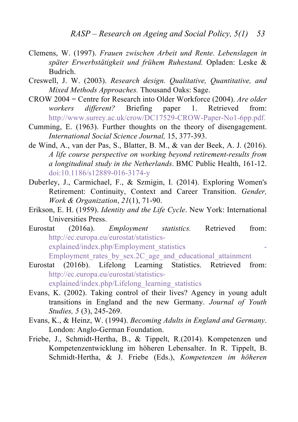- Clemens, W. (1997). *Frauen zwischen Arbeit und Rente. Lebenslagen in später Erwerbstätigkeit und frühem Ruhestand.* Opladen: Leske & Budrich.
- Creswell, J. W. (2003). *Research design. Qualitative, Quantitative, and Mixed Methods Approaches.* Thousand Oaks: Sage.
- CROW 2004 = Centre for Research into Older Workforce (2004). *Are older workers different?* Briefing paper 1. Retrieved from: http://www.surrey.ac.uk/crow/DC17529-CROW-Paper-No1-6pp.pdf.
- Cumming, E. (1963). Further thoughts on the theory of disengagement. *International Social Science Journal,* 15, 377-393.
- de Wind, A., van der Pas, S., Blatter, B. M., & van der Beek, A. J. (2016). *A life course perspective on working beyond retirement-results from a longitudinal study in the Netherlands*. BMC Public Health, 161-12. doi:10.1186/s12889-016-3174-y
- Duberley, J., Carmichael, F., & Szmigin, I. (2014). Exploring Women's Retirement: Continuity, Context and Career Transition. *Gender, Work & Organization*, *21*(1), 71-90.
- Erikson, E. H. (1959). *Identity and the Life Cycle*. New York: International Universities Press.
- Eurostat (2016a). *Employment statistics.* Retrieved from: http://ec.europa.eu/eurostat/statisticsexplained/index.php/Employment\_statistics Employment rates by sex.2C age and educational attainment
- Eurostat (2016b). Lifelong Learning Statistics. Retrieved from: http://ec.europa.eu/eurostat/statisticsexplained/index.php/Lifelong\_learning\_statistics
- Evans, K. (2002). Taking control of their lives? Agency in young adult transitions in England and the new Germany. *Journal of Youth Studies, 5* (3), 245-269.
- Evans, K., & Heinz, W. (1994). *Becoming Adults in England and Germany*. London: Anglo-German Foundation.
- Friebe, J., Schmidt-Hertha, B., & Tippelt, R.(2014). Kompetenzen und Kompetenzentwicklung im höheren Lebensalter. In R. Tippelt, B. Schmidt-Hertha, & J. Friebe (Eds.), *Kompetenzen im höheren*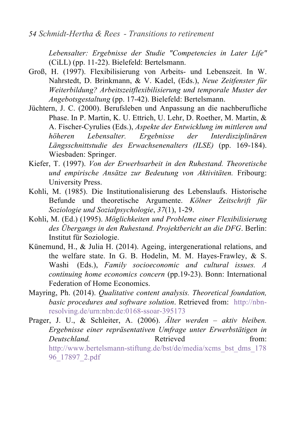*Lebensalter: Ergebnisse der Studie "Competencies in Later Life"* (CiLL) (pp. 11-22). Bielefeld: Bertelsmann.

- Groß, H. (1997). Flexibilisierung von Arbeits- und Lebenszeit. In W. Nahrstedt, D. Brinkmann, & V. Kadel, (Eds.), *Neue Zeitfenster für Weiterbildung? Arbeitszeitflexibilisierung und temporale Muster der Angebotsgestaltung* (pp. 17-42). Bielefeld: Bertelsmann.
- Jüchtern, J. C. (2000). Berufsleben und Anpassung an die nachberufliche Phase. In P. Martin, K. U. Ettrich, U. Lehr, D. Roether, M. Martin, & A. Fischer-Cyrulies (Eds.), *Aspekte der Entwicklung im mittleren und höheren Lebensalter. Ergebnisse der Interdisziplinären Längsschnittstudie des Erwachsenenalters (ILSE)* (pp. 169-184). Wiesbaden: Springer.
- Kiefer, T. (1997). *Von der Erwerbsarbeit in den Ruhestand. Theoretische und empirische Ansätze zur Bedeutung von Aktivitäten.* Fribourg: University Press.
- Kohli, M. (1985). Die Institutionalisierung des Lebenslaufs. Historische Befunde und theoretische Argumente. *Kölner Zeitschrift für Soziologie und Sozialpsychologie*, *37*(1), 1-29.
- Kohli, M. (Ed.) (1995). *Möglichkeiten und Probleme einer Flexibilisierung des Übergangs in den Ruhestand. Projektbericht an die DFG*. Berlin: Institut für Soziologie.
- Künemund, H., & Julia H. (2014). Ageing, intergenerational relations, and the welfare state. In G. B. Hodelin, M. M. Hayes-Frawley, & S. Washi (Eds.), *Family socioeconomic and cultural issues. A continuing home economics concern* (pp.19-23). Bonn: International Federation of Home Economics.
- Mayring, Ph. (2014). *Qualitative content analysis. Theoretical foundation, basic procedures and software solution*. Retrieved from: http://nbnresolving.de/urn:nbn:de:0168-ssoar-395173
- Prager, J. U., & Schleiter, A. (2006). *Älter werden – aktiv bleiben. Ergebnisse einer repräsentativen Umfrage unter Erwerbstätigen in Deutschland* **Retrieved heating from:** http://www.bertelsmann-stiftung.de/bst/de/media/xcms\_bst\_dms\_178 96\_17897\_2.pdf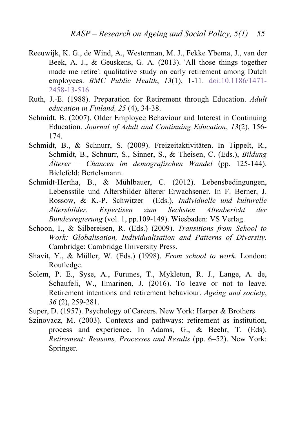- Reeuwijk, K. G., de Wind, A., Westerman, M. J., Fekke Ybema, J., van der Beek, A. J., & Geuskens, G. A. (2013). 'All those things together made me retire': qualitative study on early retirement among Dutch employees. *BMC Public Health*, *13*(1), 1-11. doi:10.1186/1471- 2458-13-516
- Ruth, J.-E. (1988). Preparation for Retirement through Education. *Adult education in Finland, 25* (4), 34-38.
- Schmidt, B. (2007). Older Employee Behaviour and Interest in Continuing Education. *Journal of Adult and Continuing Education*, *13*(2), 156- 174.
- Schmidt, B., & Schnurr, S. (2009). Freizeitaktivitäten. In Tippelt, R., Schmidt, B., Schnurr, S., Sinner, S., & Theisen, C. (Eds.), *Bildung Älterer – Chancen im demografischen Wandel* (pp. 125-144). Bielefeld: Bertelsmann.
- Schmidt-Hertha, B., & Mühlbauer, C. (2012). Lebensbedingungen, Lebensstile und Altersbilder älterer Erwachsener. In F. Berner, J. Rossow, & K.-P. Schwitzer (Eds.), *Individuelle und kulturelle Altersbilder. Expertisen zum Sechsten Altenbericht der Bundesregierung* (vol. 1, pp.109-149). Wiesbaden: VS Verlag.
- Schoon, I., & Silbereisen, R. (Eds.) (2009). *Transitions from School to Work: Globalisation, Individualisation and Patterns of Diversity.* Cambridge: Cambridge University Press.
- Shavit, Y., & Müller, W. (Eds.) (1998). *From school to work*. London: Routledge.
- Solem, P. E., Syse, A., Furunes, T., Mykletun, R. J., Lange, A. de, Schaufeli, W., Ilmarinen, J. (2016). To leave or not to leave. Retirement intentions and retirement behaviour. *Ageing and society*, *36* (2), 259-281.

Super, D. (1957). Psychology of Careers. New York: Harper & Brothers

Szinovacz, M. (2003). Contexts and pathways: retirement as institution, process and experience. In Adams, G., & Beehr, T. (Eds). *Retirement: Reasons, Processes and Results* (pp. 6–52). New York: Springer.